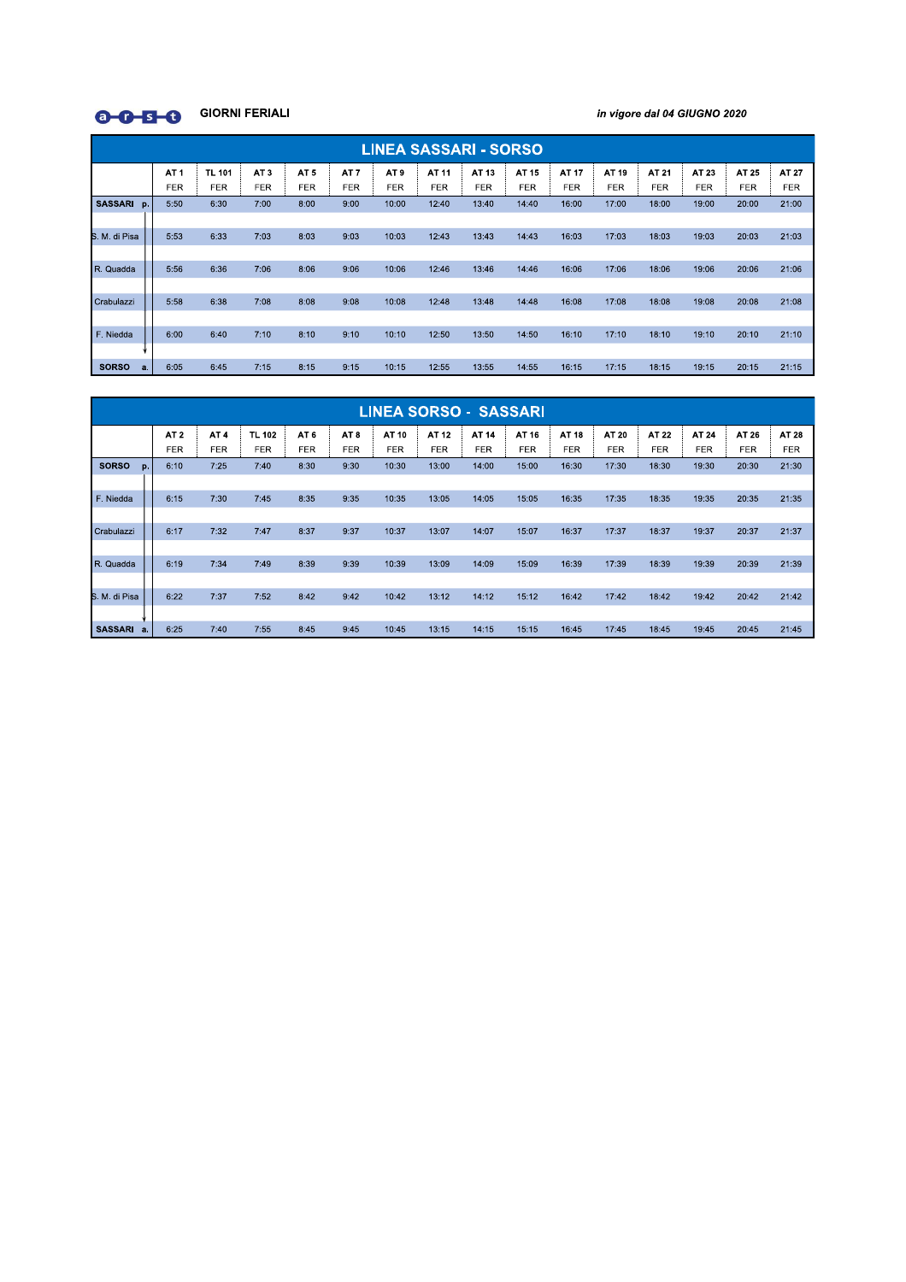

in vigore dal 04 GIUGNO 2020

|                      | <b>LINEA SASSARI - SORSO</b>  |                             |                               |                               |                               |                               |                     |                     |                     |                     |                     |                     |                     |                     |                     |
|----------------------|-------------------------------|-----------------------------|-------------------------------|-------------------------------|-------------------------------|-------------------------------|---------------------|---------------------|---------------------|---------------------|---------------------|---------------------|---------------------|---------------------|---------------------|
|                      | AT <sub>1</sub><br><b>FER</b> | <b>TL 101</b><br><b>FER</b> | AT <sub>3</sub><br><b>FER</b> | AT <sub>5</sub><br><b>FER</b> | AT <sub>7</sub><br><b>FER</b> | AT <sub>9</sub><br><b>FER</b> | AT 11<br><b>FER</b> | AT 13<br><b>FER</b> | AT 15<br><b>FER</b> | AT 17<br><b>FER</b> | AT 19<br><b>FER</b> | AT 21<br><b>FER</b> | AT 23<br><b>FER</b> | AT 25<br><b>FER</b> | AT 27<br><b>FER</b> |
| <b>SASSARI</b><br>p. | 5:50                          | 6:30                        | 7:00                          | 8:00                          | 9:00                          | 10:00                         | 12:40               | 13:40               | 14:40               | 16:00               | 17:00               | 18:00               | 19:00               | 20:00               | 21:00               |
| S. M. di Pisa        | 5:53                          | 6:33                        | 7:03                          | 8:03                          | 9:03                          | 10:03                         | 12:43               | 13:43               | 14:43               | 16:03               | 17:03               | 18:03               | 19:03               | 20:03               | 21:03               |
| R. Quadda            | 5:56                          | 6:36                        | 7:06                          | 8:06                          | 9:06                          | 10:06                         | 12:46               | 13:46               | 14:46               | 16:06               | 17:06               | 18:06               | 19:06               | 20:06               | 21:06               |
| Crabulazzi           | 5:58                          | 6:38                        | 7:08                          | 8:08                          | 9:08                          | 10:08                         | 12:48               | 13:48               | 14:48               | 16:08               | 17:08               | 18:08               | 19:08               | 20:08               | 21:08               |
| F. Niedda            | 6:00                          | 6:40                        | 7:10                          | 8:10                          | 9:10                          | 10:10                         | 12:50               | 13:50               | 14:50               | 16:10               | 17:10               | 18:10               | 19:10               | 20:10               | 21:10               |
|                      |                               |                             |                               |                               |                               |                               |                     |                     |                     |                     |                     |                     |                     |                     |                     |
| <b>SORSO</b><br>a.   | 6:05                          | 6:45                        | 7:15                          | 8:15                          | 9:15                          | 10:15                         | 12:55               | 13:55               | 14:55               | 16:15               | 17:15               | 18:15               | 19:15               | 20:15               | 21:15               |

|                      | <b>LINEA SORSO - SASSARI</b> |                 |               |                 |                 |            |            |            |            |            |            |            |            |            |       |
|----------------------|------------------------------|-----------------|---------------|-----------------|-----------------|------------|------------|------------|------------|------------|------------|------------|------------|------------|-------|
|                      | AT <sub>2</sub>              | AT <sub>4</sub> | <b>TL 102</b> | AT <sub>6</sub> | AT <sub>8</sub> | AT 10      | AT 12      | AT 14      | AT 16      | AT 18      | AT 20      | AT 22      | AT 24      | AT 26      | AT 28 |
|                      | <b>FER</b>                   | <b>FER</b>      | <b>FER</b>    | FER             | <b>FER</b>      | <b>FER</b> | <b>FER</b> | <b>FER</b> | <b>FER</b> | <b>FER</b> | <b>FER</b> | <b>FER</b> | <b>FER</b> | <b>FER</b> | FER   |
| <b>SORSO</b><br>p.   | 6:10                         | 7:25            | 7:40          | 8:30            | 9:30            | 10:30      | 13:00      | 14:00      | 15:00      | 16:30      | 17:30      | 18:30      | 19:30      | 20:30      | 21:30 |
|                      |                              |                 |               |                 |                 |            |            |            |            |            |            |            |            |            |       |
| F. Niedda            | 6:15                         | 7:30            | 7:45          | 8:35            | 9:35            | 10:35      | 13:05      | 14:05      | 15:05      | 16:35      | 17:35      | 18:35      | 19:35      | 20:35      | 21:35 |
|                      |                              |                 |               |                 |                 |            |            |            |            |            |            |            |            |            |       |
| Crabulazzi           | 6:17                         | 7:32            | 7:47          | 8:37            | 9:37            | 10:37      | 13:07      | 14:07      | 15:07      | 16:37      | 17:37      | 18:37      | 19:37      | 20:37      | 21:37 |
|                      |                              |                 |               |                 |                 |            |            |            |            |            |            |            |            |            |       |
| R. Quadda            | 6:19                         | 7:34            | 7:49          | 8:39            | 9:39            | 10:39      | 13:09      | 14:09      | 15:09      | 16:39      | 17:39      | 18:39      | 19:39      | 20:39      | 21:39 |
|                      |                              |                 |               |                 |                 |            |            |            |            |            |            |            |            |            |       |
| S. M. di Pisa        | 6:22                         | 7:37            | 7:52          | 8:42            | 9:42            | 10:42      | 13:12      | 14:12      | 15:12      | 16:42      | 17:42      | 18:42      | 19:42      | 20:42      | 21:42 |
|                      |                              |                 |               |                 |                 |            |            |            |            |            |            |            |            |            |       |
| <b>SASSARI</b><br>a. | 6:25                         | 7:40            | 7:55          | 8:45            | 9:45            | 10:45      | 13:15      | 14:15      | 15:15      | 16:45      | 17:45      | 18:45      | 19:45      | 20:45      | 21:45 |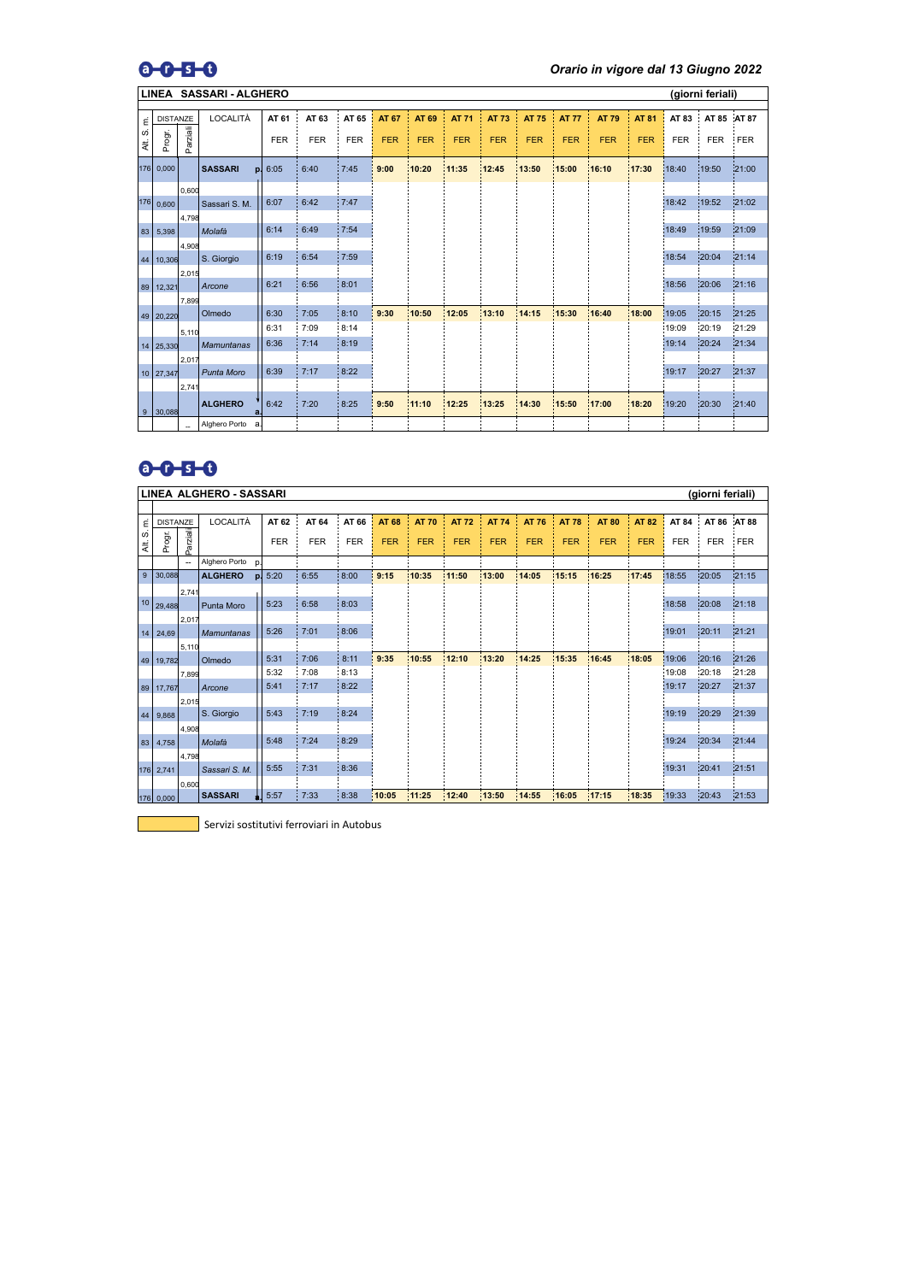## $0 - 5 - 0$

*Orario in vigore dal 13 Giugno 2022*

|                       | <b>SASSARI - ALGHERO</b><br>(giorni feriali)<br><b>LINEA</b> |                                   |                      |            |            |            |              |            |              |              |              |              |              |              |            |             |       |
|-----------------------|--------------------------------------------------------------|-----------------------------------|----------------------|------------|------------|------------|--------------|------------|--------------|--------------|--------------|--------------|--------------|--------------|------------|-------------|-------|
|                       |                                                              |                                   |                      |            |            |            |              |            |              |              |              |              |              |              |            |             |       |
| $\overline{\epsilon}$ | <b>DISTANZE</b>                                              |                                   | LOCALITÀ             | AT 61      | AT 63      | AT 65      | <b>AT 67</b> | AT 69      | <b>AT 71</b> | <b>AT 73</b> | <b>AT 75</b> | <b>AT 77</b> | <b>AT 79</b> | <b>AT 81</b> | AT 83      | AT 85 AT 87 |       |
| <b>SO</b><br>₹.       | Progr.                                                       | Parziali                          |                      | <b>FER</b> | <b>FER</b> | <b>FER</b> | <b>FER</b>   | <b>FER</b> | <b>FER</b>   | <b>FER</b>   | <b>FER</b>   | <b>FER</b>   | <b>FER</b>   | <b>FER</b>   | <b>FER</b> | <b>FER</b>  | FER   |
|                       | 176 0,000                                                    |                                   | <b>SASSARI</b><br>p. | 6:05       | 6:40       | 7:45       | 9:00         | 10:20      | 11:35        | 12:45        | 13:50        | 15:00        | 16:10        | 17:30        | 18:40      | 19:50       | 21:00 |
|                       |                                                              | 0,600                             |                      |            |            |            |              |            |              |              |              |              |              |              |            |             |       |
|                       | $176$ 0,600                                                  |                                   | Sassari S. M.        | 6:07       | 6:42       | 7:47       |              |            |              |              |              |              |              |              | 18:42      | 19:52       | 21:02 |
|                       |                                                              | 4,798                             |                      |            |            |            |              |            |              |              |              |              |              |              |            |             |       |
| 83                    | 5,398                                                        |                                   | Molafà               | 6:14       | 6:49       | 7:54       |              |            |              |              |              |              |              |              | 18:49      | 19:59       | 21:09 |
|                       |                                                              | 4,908                             |                      |            |            |            |              |            |              |              |              |              |              |              |            |             |       |
| 44                    | 10,306                                                       |                                   | S. Giorgio           | 6:19       | 6:54       | 7:59       |              |            |              |              |              |              |              |              | 18:54      | 20:04       | 21:14 |
|                       |                                                              | 2,015                             |                      |            |            |            |              |            |              |              |              |              |              |              |            |             |       |
| 89                    | 12,321                                                       |                                   | Arcone               | 6:21       | 6:56       | 8:01       |              |            |              |              |              |              |              |              | 18:56      | 20:06       | 21:16 |
|                       |                                                              | 7,899                             |                      |            |            |            |              |            |              |              |              |              |              |              |            |             |       |
|                       | 49 20,220                                                    |                                   | Olmedo               | 6:30       | 7:05       | 8:10       | 9:30         | 10:50      | 12:05        | 13:10        | 14:15        | 15:30        | 16:40        | 18:00        | 19:05      | 20:15       | 21:25 |
|                       |                                                              |                                   |                      | 6:31       | 7:09       | 8:14       |              |            |              |              |              |              |              |              | 19:09      | 20:19       | 21:29 |
|                       |                                                              | 5,110                             | <b>Mamuntanas</b>    | 6:36       | 7:14       | 8:19       |              |            |              |              |              |              |              |              | 19:14      | 20:24       | 21:34 |
|                       | 14 25,330                                                    |                                   |                      |            |            |            |              |            |              |              |              |              |              |              |            |             |       |
|                       |                                                              | 2,017                             |                      | 6:39       | 7:17       | 8:22       |              |            |              |              |              |              |              |              | 19:17      | 20:27       | 21:37 |
|                       | 10 27,347                                                    |                                   | Punta Moro           |            |            |            |              |            |              |              |              |              |              |              |            |             |       |
|                       |                                                              | 2,741                             |                      |            |            |            |              |            |              |              |              |              |              |              |            |             |       |
| 9                     | 30,088                                                       |                                   | <b>ALGHERO</b><br>a. | 6:42       | 7:20       | 8:25       | 9:50         | 11:10      | 12:25        | 13:25        | 14:30        | 15:50        | 17:00        | 18:20        | 19:20      | 20:30       | 21:40 |
|                       |                                                              | $\hspace{0.05cm} \dashrightarrow$ | Alghero Porto<br>a   |            |            |            |              |            |              |              |              |              |              |              |            |             |       |

## $0 - 0 - 5 - 0$

|         | <b>LINEA ALGHERO - SASSARI</b><br>(giorni feriali) |                |                      |            |            |            |              |              |              |              |              |              |              |              |            |            |              |
|---------|----------------------------------------------------|----------------|----------------------|------------|------------|------------|--------------|--------------|--------------|--------------|--------------|--------------|--------------|--------------|------------|------------|--------------|
|         |                                                    |                |                      |            |            |            |              |              |              |              |              |              |              |              |            |            |              |
| έ       | <b>DISTANZE</b>                                    |                | LOCALITÀ             | AT 62      | AT 64      | AT 66      | <b>AT 68</b> | <b>AT 70</b> | <b>AT 72</b> | <b>AT 74</b> | <b>AT 76</b> | <b>AT 78</b> | <b>AT 80</b> | <b>AT 82</b> | AT 84      | AT 86      | <b>AT 88</b> |
| S<br>₹. | Progr.                                             | arziali        |                      | <b>FER</b> | <b>FER</b> | <b>FER</b> | <b>FER</b>   | <b>FER</b>   | <b>FER</b>   | <b>FER</b>   | <b>FER</b>   | <b>FER</b>   | <b>FER</b>   | <b>FER</b>   | <b>FER</b> | <b>FER</b> | <b>FER</b>   |
|         |                                                    | $\overline{a}$ | Alghero Porto<br>p.  |            |            |            |              |              |              |              |              |              |              |              |            |            |              |
| 9       | 30,088                                             |                | <b>ALGHERO</b><br>p. | 5:20       | 6:55       | 8:00       | 9:15         | 10:35        | 11:50        | 13:00        | 14:05        | 15:15        | 16:25        | 17:45        | 18:55      | 20:05      | 21:15        |
|         |                                                    | 2,741          |                      |            |            |            |              |              |              |              |              |              |              |              |            |            |              |
|         | 10 29,488                                          |                | <b>Punta Moro</b>    | 5:23       | 6:58       | 8:03       |              |              |              |              |              |              |              |              | 18:58      | 20:08      | 21:18        |
|         |                                                    | 2,017          |                      |            |            |            |              |              |              |              |              |              |              |              |            |            |              |
| 14      | 24,69                                              |                | <b>Mamuntanas</b>    | 5:26       | 7:01       | 8:06       |              |              |              |              |              |              |              |              | 19:01      | 20:11      | 21:21        |
|         |                                                    | 5,110          |                      |            |            |            |              |              |              |              |              |              |              |              |            |            |              |
| 49      | 19,782                                             |                | Olmedo               | 5:31       | 7:06       | 8:11       | 9:35         | 10:55        | 12:10        | 13:20        | 14:25        | 15:35        | 16:45        | 18:05        | 19:06      | 20:16      | 21:26        |
|         |                                                    | 7,899          |                      | 5:32       | 7:08       | 8:13       |              |              |              |              |              |              |              |              | 19:08      | 20:18      | 21:28        |
| 89      | 17,767                                             |                | Arcone               | 5:41       | 7:17       | 8:22       |              |              |              |              |              |              |              |              | 19:17      | 20:27      | 21:37        |
|         |                                                    | 2,015          |                      |            |            |            |              |              |              |              |              |              |              |              |            |            |              |
| 44      | 9,868                                              |                | S. Giorgio           | 5:43       | 7:19       | 8:24       |              |              |              |              |              |              |              |              | 19:19      | 20:29      | 21:39        |
|         |                                                    | 4,908          |                      |            |            |            |              |              |              |              |              |              |              |              |            |            |              |
| 83      | 4,758                                              |                | Molafà               | 5:48       | 7:24       | 8:29       |              |              |              |              |              |              |              |              | 19:24      | 20:34      | 21:44        |
|         |                                                    | 4,798          |                      |            |            |            |              |              |              |              |              |              |              |              |            |            |              |
|         | $176$ 2,741                                        |                | Sassari S. M.        | 5:55       | 7:31       | 8:36       |              |              |              |              |              |              |              |              | 19:31      | 20:41      | 21:51        |
|         |                                                    | 0,600          |                      |            |            |            |              |              |              |              |              |              |              |              |            |            |              |
|         | 176 0,000                                          |                | <b>SASSARI</b>       | 5:57       | 7:33       | 8:38       | 10:05        | 11:25        | 12:40        | 13:50        | 14:55        | 16:05        | 17:15        | 18:35        | 19:33      | 20:43      | 21.53        |

Servizi sostitutivi ferroviari in Autobus